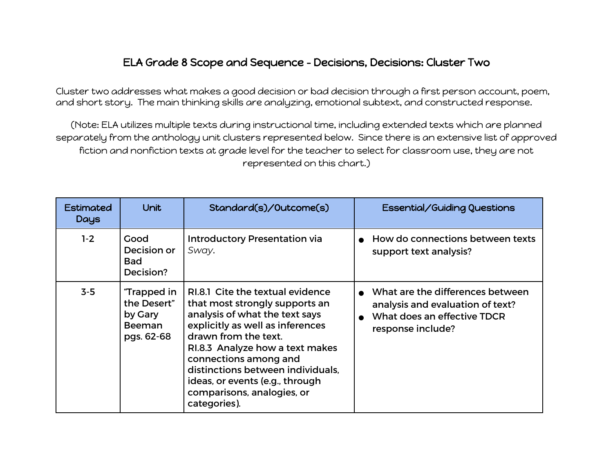## ELA Grade 8 Scope and Sequence - Decisions, Decisions: Cluster Two

Cluster two addresses what makes a good decision or bad decision through a first person account, poem, and short story. The main thinking skills are analyzing, emotional subtext, and constructed response.

(Note: ELA utilizes multiple texts during instructional time, including extended texts which are planned separately from the anthology unit clusters represented below. Since there is an extensive list of approved fiction and nonfiction texts at grade level for the teacher to select for classroom use, they are not represented on this chart.)

| <b>Estimated</b><br><b>Days</b> | Unit                                                                 | Standard(s)/Outcome(s)                                                                                                                                                                                                                                                                                                                             | Essential/Guiding Questions                                                                                              |
|---------------------------------|----------------------------------------------------------------------|----------------------------------------------------------------------------------------------------------------------------------------------------------------------------------------------------------------------------------------------------------------------------------------------------------------------------------------------------|--------------------------------------------------------------------------------------------------------------------------|
| $1-2$                           | Good<br>Decision or<br><b>Bad</b><br>Decision?                       | <b>Introductory Presentation via</b><br>Sway.                                                                                                                                                                                                                                                                                                      | How do connections between texts<br>support text analysis?                                                               |
| $3-5$                           | "Trapped in<br>the Desert"<br>by Gary<br><b>Beeman</b><br>pgs. 62-68 | RI.8.1 Cite the textual evidence<br>that most strongly supports an<br>analysis of what the text says<br>explicitly as well as inferences<br>drawn from the text.<br>RI.8.3 Analyze how a text makes<br>connections among and<br>distinctions between individuals.<br>ideas, or events (e.g., through<br>comparisons, analogies, or<br>categories). | What are the differences between<br>analysis and evaluation of text?<br>What does an effective TDCR<br>response include? |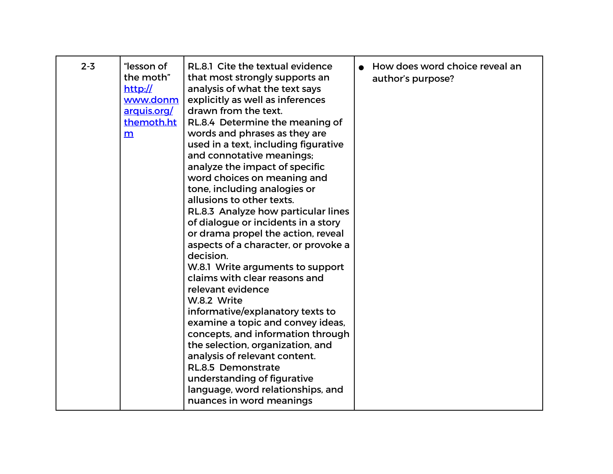| $2 - 3$<br>"lesson of<br>RL.8.1 Cite the textual evidence<br>the moth"<br>that most strongly supports an<br>analysis of what the text says<br>http://<br>www.donm<br>explicitly as well as inferences<br>arquis.org/<br>drawn from the text.<br>themoth.ht<br>RL.8.4 Determine the meaning of<br>words and phrases as they are<br>m<br>used in a text, including figurative<br>and connotative meanings;<br>analyze the impact of specific<br>word choices on meaning and<br>tone, including analogies or<br>allusions to other texts.<br>RL.8.3 Analyze how particular lines<br>of dialogue or incidents in a story<br>or drama propel the action, reveal<br>aspects of a character, or provoke a<br>decision.<br>W.8.1 Write arguments to support<br>claims with clear reasons and<br>relevant evidence<br>W.8.2 Write<br>informative/explanatory texts to<br>examine a topic and convey ideas,<br>concepts, and information through<br>the selection, organization, and<br>analysis of relevant content.<br><b>RL.8.5 Demonstrate</b><br>understanding of figurative<br>language, word relationships, and<br>nuances in word meanings | How does word choice reveal an<br>author's purpose? |
|------------------------------------------------------------------------------------------------------------------------------------------------------------------------------------------------------------------------------------------------------------------------------------------------------------------------------------------------------------------------------------------------------------------------------------------------------------------------------------------------------------------------------------------------------------------------------------------------------------------------------------------------------------------------------------------------------------------------------------------------------------------------------------------------------------------------------------------------------------------------------------------------------------------------------------------------------------------------------------------------------------------------------------------------------------------------------------------------------------------------------------------|-----------------------------------------------------|